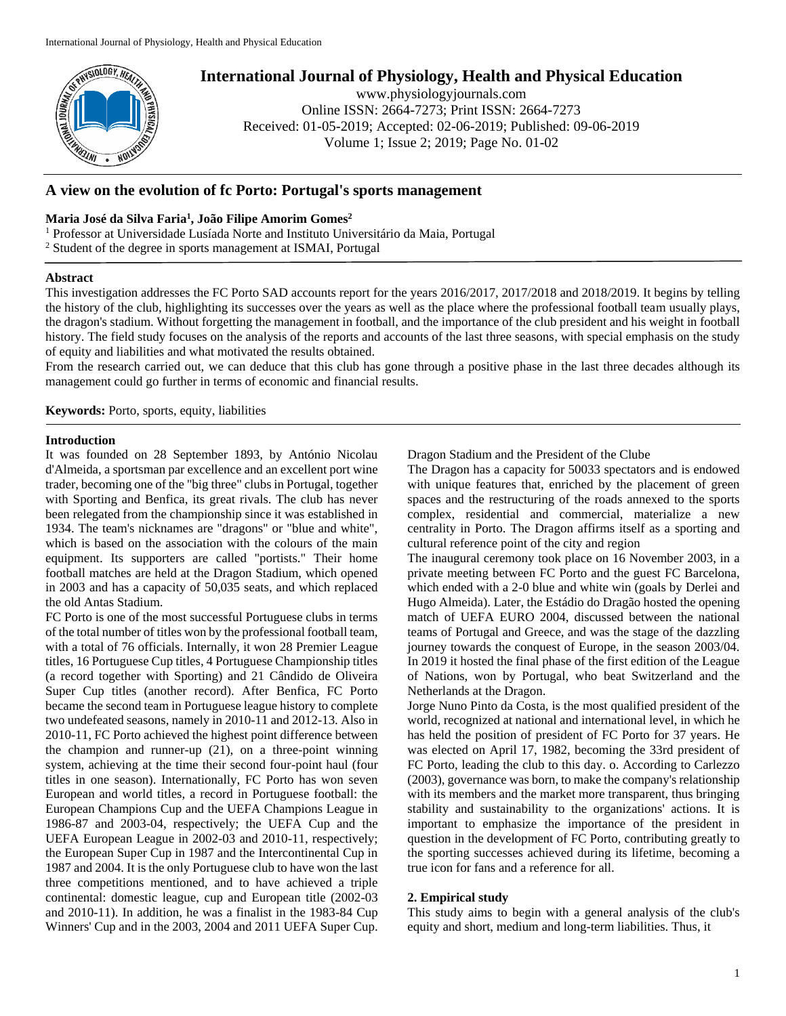

# **International Journal of Physiology, Health and Physical Education**

www.physiologyjournals.com Online ISSN: 2664-7273; Print ISSN: 2664-7273 Received: 01-05-2019; Accepted: 02-06-2019; Published: 09-06-2019 Volume 1; Issue 2; 2019; Page No. 01-02

# **A view on the evolution of fc Porto: Portugal's sports management**

# **Maria José da Silva Faria<sup>1</sup> , João Filipe Amorim Gomes<sup>2</sup>**

<sup>1</sup> Professor at Universidade Lusíada Norte and Instituto Universitário da Maia, Portugal

<sup>2</sup> Student of the degree in sports management at ISMAI, Portugal

### **Abstract**

This investigation addresses the FC Porto SAD accounts report for the years 2016/2017, 2017/2018 and 2018/2019. It begins by telling the history of the club, highlighting its successes over the years as well as the place where the professional football team usually plays, the dragon's stadium. Without forgetting the management in football, and the importance of the club president and his weight in football history. The field study focuses on the analysis of the reports and accounts of the last three seasons, with special emphasis on the study of equity and liabilities and what motivated the results obtained.

From the research carried out, we can deduce that this club has gone through a positive phase in the last three decades although its management could go further in terms of economic and financial results.

**Keywords:** Porto, sports, equity, liabilities

## **Introduction**

It was founded on 28 September 1893, by António Nicolau d'Almeida, a sportsman par excellence and an excellent port wine trader, becoming one of the "big three" clubs in Portugal, together with Sporting and Benfica, its great rivals. The club has never been relegated from the championship since it was established in 1934. The team's nicknames are "dragons" or "blue and white", which is based on the association with the colours of the main equipment. Its supporters are called "portists." Their home football matches are held at the Dragon Stadium, which opened in 2003 and has a capacity of 50,035 seats, and which replaced the old Antas Stadium.

FC Porto is one of the most successful Portuguese clubs in terms of the total number of titles won by the professional football team, with a total of 76 officials. Internally, it won 28 Premier League titles, 16 Portuguese Cup titles, 4 Portuguese Championship titles (a record together with Sporting) and 21 Cândido de Oliveira Super Cup titles (another record). After Benfica, FC Porto became the second team in Portuguese league history to complete two undefeated seasons, namely in 2010-11 and 2012-13. Also in 2010-11, FC Porto achieved the highest point difference between the champion and runner-up (21), on a three-point winning system, achieving at the time their second four-point haul (four titles in one season). Internationally, FC Porto has won seven European and world titles, a record in Portuguese football: the European Champions Cup and the UEFA Champions League in 1986-87 and 2003-04, respectively; the UEFA Cup and the UEFA European League in 2002-03 and 2010-11, respectively; the European Super Cup in 1987 and the Intercontinental Cup in 1987 and 2004. It is the only Portuguese club to have won the last three competitions mentioned, and to have achieved a triple continental: domestic league, cup and European title (2002-03 and 2010-11). In addition, he was a finalist in the 1983-84 Cup Winners' Cup and in the 2003, 2004 and 2011 UEFA Super Cup. Dragon Stadium and the President of the Clube

The Dragon has a capacity for 50033 spectators and is endowed with unique features that, enriched by the placement of green spaces and the restructuring of the roads annexed to the sports complex, residential and commercial, materialize a new centrality in Porto. The Dragon affirms itself as a sporting and cultural reference point of the city and region

The inaugural ceremony took place on 16 November 2003, in a private meeting between FC Porto and the guest FC Barcelona, which ended with a 2-0 blue and white win (goals by Derlei and Hugo Almeida). Later, the Estádio do Dragão hosted the opening match of UEFA EURO 2004, discussed between the national teams of Portugal and Greece, and was the stage of the dazzling journey towards the conquest of Europe, in the season 2003/04. In 2019 it hosted the final phase of the first edition of the League of Nations, won by Portugal, who beat Switzerland and the Netherlands at the Dragon.

Jorge Nuno Pinto da Costa, is the most qualified president of the world, recognized at national and international level, in which he has held the position of president of FC Porto for 37 years. He was elected on April 17, 1982, becoming the 33rd president of FC Porto, leading the club to this day. o. According to Carlezzo (2003), governance was born, to make the company's relationship with its members and the market more transparent, thus bringing stability and sustainability to the organizations' actions. It is important to emphasize the importance of the president in question in the development of FC Porto, contributing greatly to the sporting successes achieved during its lifetime, becoming a true icon for fans and a reference for all.

# **2. Empirical study**

This study aims to begin with a general analysis of the club's equity and short, medium and long-term liabilities. Thus, it